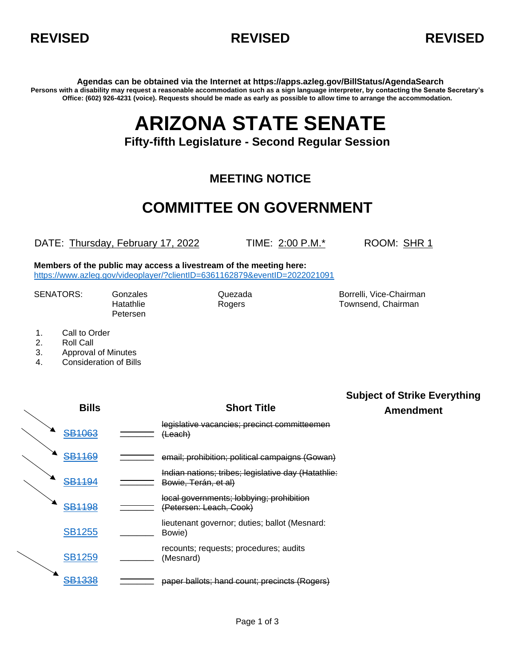



**Agendas can be obtained via the Internet at https://apps.azleg.gov/BillStatus/AgendaSearch Persons with a disability may request a reasonable accommodation such as a sign language interpreter, by contacting the Senate Secretary's Office: (602) 926-4231 (voice). Requests should be made as early as possible to allow time to arrange the accommodation.**

# **ARIZONA STATE SENATE**

### **Fifty-fifth Legislature - Second Regular Session**

### **MEETING NOTICE**

## **COMMITTEE ON GOVERNMENT**

DATE: Thursday, February 17, 2022 TIME: 2:00 P.M.\* ROOM: SHR 1

**Members of the public may access a livestream of the meeting here:**  <https://www.azleg.gov/videoplayer/?clientID=6361162879&eventID=2022021091>

Petersen

SENATORS: Gonzales Gonzales Quezada Borrelli, Vice-Chairman Hatathlie Rogers Townsend, Chairman

- 1. Call to Order
- 2. Roll Call
- 3. Approval of Minutes
- 4. Consideration of Bills

| <b>Bills</b>      | <b>Short Title</b>                                                             | <b>Subject of Strike Everything</b><br><b>Amendment</b> |
|-------------------|--------------------------------------------------------------------------------|---------------------------------------------------------|
| <b>SB1063</b>     | legislative vacancies; precinct committeemen<br>(Leach)                        |                                                         |
| <b>SB1169</b>     | email; prohibition; political campaigns (Gowan)                                |                                                         |
| <b>SB1194</b>     | Indian nations; tribes; legislative day (Hatathlie:<br>Bowie, Terán, et al)    |                                                         |
| <del>SB1198</del> | local governments; lobbying; prohibition<br><del>(Petersen: Leach, Cook)</del> |                                                         |
| <b>SB1255</b>     | lieutenant governor; duties; ballot (Mesnard:<br>Bowie)                        |                                                         |
| <b>SB1259</b>     | recounts; requests; procedures; audits<br>(Mesnard)                            |                                                         |
| <del>SB1338</del> | paper ballots; hand count; precincts (Rogers)                                  |                                                         |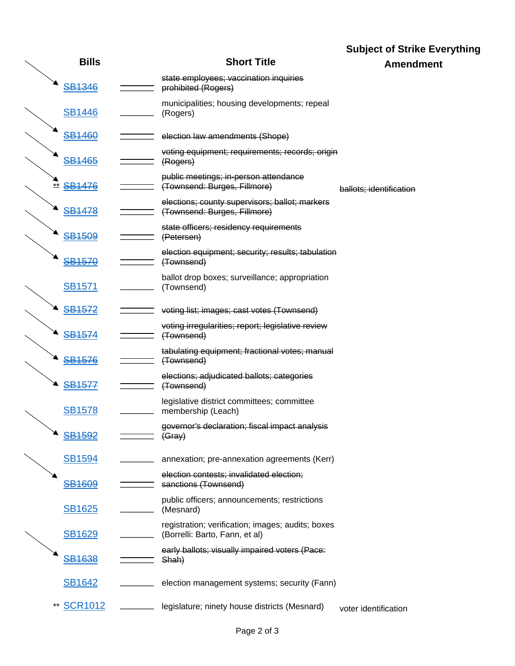|                         |                                                                                     | <b>Subject of Strike Everything</b> |
|-------------------------|-------------------------------------------------------------------------------------|-------------------------------------|
| <b>Bills</b>            | <b>Short Title</b>                                                                  | <b>Amendment</b>                    |
| <b>SB1346</b>           | state employees; vaccination inquiries<br>prohibited (Rogers)                       |                                     |
| <b>SB1446</b>           | municipalities; housing developments; repeal<br>(Rogers)                            |                                     |
| <del>SB1460</del>       | election law amendments (Shope)                                                     |                                     |
| <b>SB1465</b>           | voting equipment; requirements; records; origin<br>(Rogers)                         |                                     |
| ** SB1476               | public meetings; in-person attendance<br>(Townsend: Burges, Fillmore)               | ballots; identification             |
| <b>SB1478</b>           | elections; county supervisors; ballot; markers<br>(Townsend: Burges, Fillmore)      |                                     |
| <b>SB1509</b>           | state officers; residency requirements<br>(Petersen)                                |                                     |
| <b>SB1570</b>           | election equipment; security; results; tabulation<br>(Townsend)                     |                                     |
| <b>SB1571</b>           | ballot drop boxes; surveillance; appropriation<br>(Townsend)                        |                                     |
| <b>SB1572</b>           | voting list; images; cast votes (Townsend)                                          |                                     |
| <b>SB1574</b>           | voting irregularities; report; legislative review<br>(Townsend)                     |                                     |
| <b>SB1576</b>           | tabulating equipment; fractional votes; manual<br>(Townsend)                        |                                     |
| <b>SB1577</b>           | elections; adjudicated ballots; categories<br>(Townsend)                            |                                     |
| <b>SB1578</b>           | legislative district committees; committee<br>membership (Leach)                    |                                     |
| <b>SB1592</b>           | governor's declaration; fiscal impact analysis<br>(Gray)                            |                                     |
| <b>SB1594</b>           | annexation; pre-annexation agreements (Kerr)                                        |                                     |
| <b>SB1609</b>           | election contests; invalidated election;<br>sanctions (Townsend)                    |                                     |
| SB1625                  | public officers; announcements; restrictions<br>(Mesnard)                           |                                     |
| <b>SB1629</b>           | registration; verification; images; audits; boxes<br>(Borrelli: Barto, Fann, et al) |                                     |
| <b>SB1638</b>           | early ballots; visually impaired voters (Pace:<br>Shah)                             |                                     |
| SB1642                  | election management systems; security (Fann)                                        |                                     |
| <b>SCR1012</b><br>$***$ | legislature; ninety house districts (Mesnard)                                       | voter identification                |